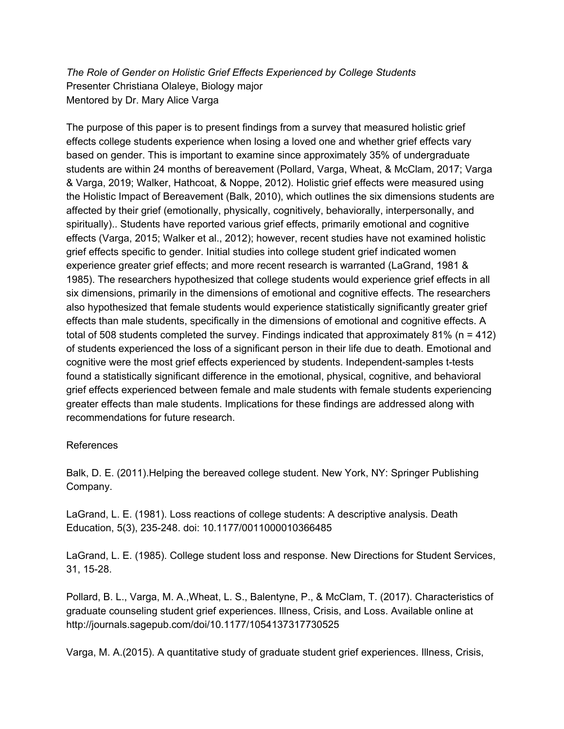*The Role of Gender on Holistic Grief Effects Experienced by College Students* Presenter Christiana Olaleye, Biology major Mentored by Dr. Mary Alice Varga

The purpose of this paper is to present findings from a survey that measured holistic grief effects college students experience when losing a loved one and whether grief effects vary based on gender. This is important to examine since approximately 35% of undergraduate students are within 24 months of bereavement (Pollard, Varga, Wheat, & McClam, 2017; Varga & Varga, 2019; Walker, Hathcoat, & Noppe, 2012). Holistic grief effects were measured using the Holistic Impact of Bereavement (Balk, 2010), which outlines the six dimensions students are affected by their grief (emotionally, physically, cognitively, behaviorally, interpersonally, and spiritually).. Students have reported various grief effects, primarily emotional and cognitive effects (Varga, 2015; Walker et al., 2012); however, recent studies have not examined holistic grief effects specific to gender. Initial studies into college student grief indicated women experience greater grief effects; and more recent research is warranted (LaGrand, 1981 & 1985). The researchers hypothesized that college students would experience grief effects in all six dimensions, primarily in the dimensions of emotional and cognitive effects. The researchers also hypothesized that female students would experience statistically significantly greater grief effects than male students, specifically in the dimensions of emotional and cognitive effects. A total of 508 students completed the survey. Findings indicated that approximately 81% (n = 412) of students experienced the loss of a significant person in their life due to death. Emotional and cognitive were the most grief effects experienced by students. Independent-samples t-tests found a statistically significant difference in the emotional, physical, cognitive, and behavioral grief effects experienced between female and male students with female students experiencing greater effects than male students. Implications for these findings are addressed along with recommendations for future research.

## References

Balk, D. E. (2011).Helping the bereaved college student. New York, NY: Springer Publishing Company.

LaGrand, L. E. (1981). Loss reactions of college students: A descriptive analysis. Death Education, 5(3), 235-248. doi: 10.1177/0011000010366485

LaGrand, L. E. (1985). College student loss and response. New Directions for Student Services, 31, 15-28.

Pollard, B. L., Varga, M. A.,Wheat, L. S., Balentyne, P., & McClam, T. (2017). Characteristics of graduate counseling student grief experiences. Illness, Crisis, and Loss. Available online at http://journals.sagepub.com/doi/10.1177/1054137317730525

Varga, M. A.(2015). A quantitative study of graduate student grief experiences. Illness, Crisis,